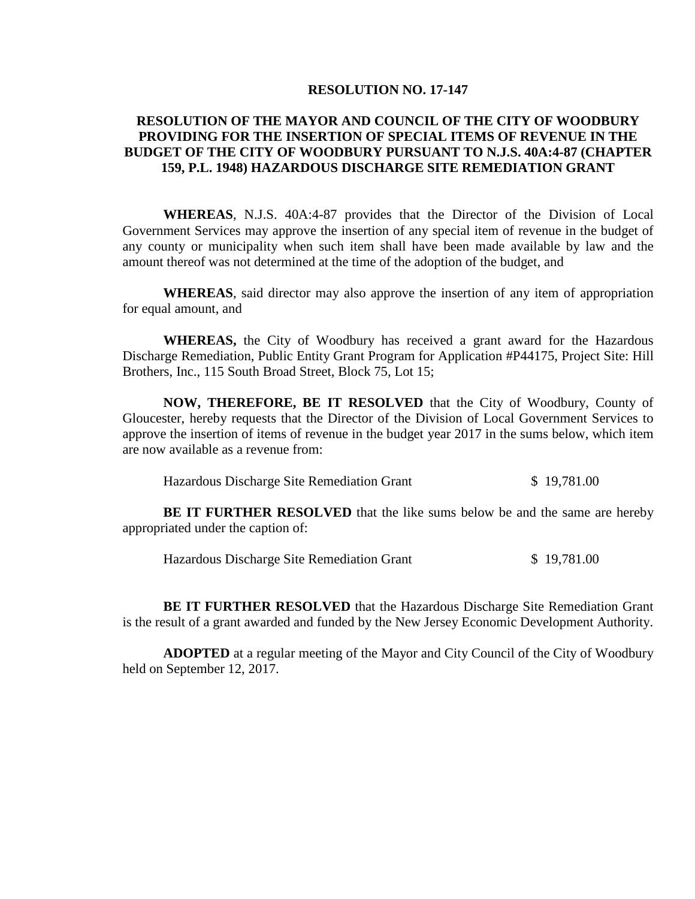#### **RESOLUTION NO. 17-147**

## **RESOLUTION OF THE MAYOR AND COUNCIL OF THE CITY OF WOODBURY PROVIDING FOR THE INSERTION OF SPECIAL ITEMS OF REVENUE IN THE BUDGET OF THE CITY OF WOODBURY PURSUANT TO N.J.S. 40A:4-87 (CHAPTER 159, P.L. 1948) HAZARDOUS DISCHARGE SITE REMEDIATION GRANT**

**WHEREAS**, N.J.S. 40A:4-87 provides that the Director of the Division of Local Government Services may approve the insertion of any special item of revenue in the budget of any county or municipality when such item shall have been made available by law and the amount thereof was not determined at the time of the adoption of the budget, and

**WHEREAS**, said director may also approve the insertion of any item of appropriation for equal amount, and

**WHEREAS,** the City of Woodbury has received a grant award for the Hazardous Discharge Remediation, Public Entity Grant Program for Application #P44175, Project Site: Hill Brothers, Inc., 115 South Broad Street, Block 75, Lot 15;

**NOW, THEREFORE, BE IT RESOLVED** that the City of Woodbury, County of Gloucester, hereby requests that the Director of the Division of Local Government Services to approve the insertion of items of revenue in the budget year 2017 in the sums below, which item are now available as a revenue from:

Hazardous Discharge Site Remediation Grant \$ 19,781.00

**BE IT FURTHER RESOLVED** that the like sums below be and the same are hereby appropriated under the caption of:

Hazardous Discharge Site Remediation Grant \$ 19,781.00

**BE IT FURTHER RESOLVED** that the Hazardous Discharge Site Remediation Grant is the result of a grant awarded and funded by the New Jersey Economic Development Authority.

**ADOPTED** at a regular meeting of the Mayor and City Council of the City of Woodbury held on September 12, 2017.